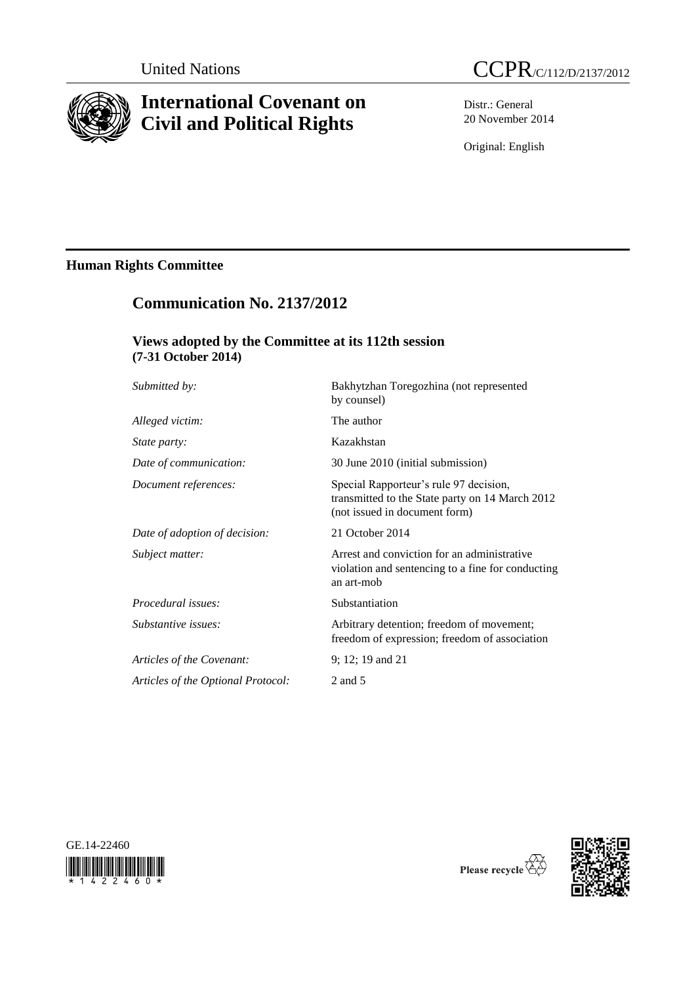

# **International Covenant on Civil and Political Rights**



Distr.: General 20 November 2014

Original: English

# **Human Rights Committee**

# **Communication No. 2137/2012**

## **Views adopted by the Committee at its 112th session (7-31 October 2014)**

| Submitted by:                      | Bakhytzhan Toregozhina (not represented<br>by counsel)                                                                     |
|------------------------------------|----------------------------------------------------------------------------------------------------------------------------|
| Alleged victim:                    | The author                                                                                                                 |
| <i>State party:</i>                | Kazakhstan                                                                                                                 |
| Date of communication:             | 30 June 2010 (initial submission)                                                                                          |
| Document references:               | Special Rapporteur's rule 97 decision,<br>transmitted to the State party on 14 March 2012<br>(not issued in document form) |
| Date of adoption of decision:      | 21 October 2014                                                                                                            |
| Subject matter:                    | Arrest and conviction for an administrative<br>violation and sentencing to a fine for conducting<br>an art-mob             |
| Procedural issues:                 | Substantiation                                                                                                             |
| Substantive issues:                | Arbitrary detention; freedom of movement;<br>freedom of expression; freedom of association                                 |
| Articles of the Covenant:          | 9; 12; 19 and 21                                                                                                           |
| Articles of the Optional Protocol: | 2 and 5                                                                                                                    |
|                                    |                                                                                                                            |





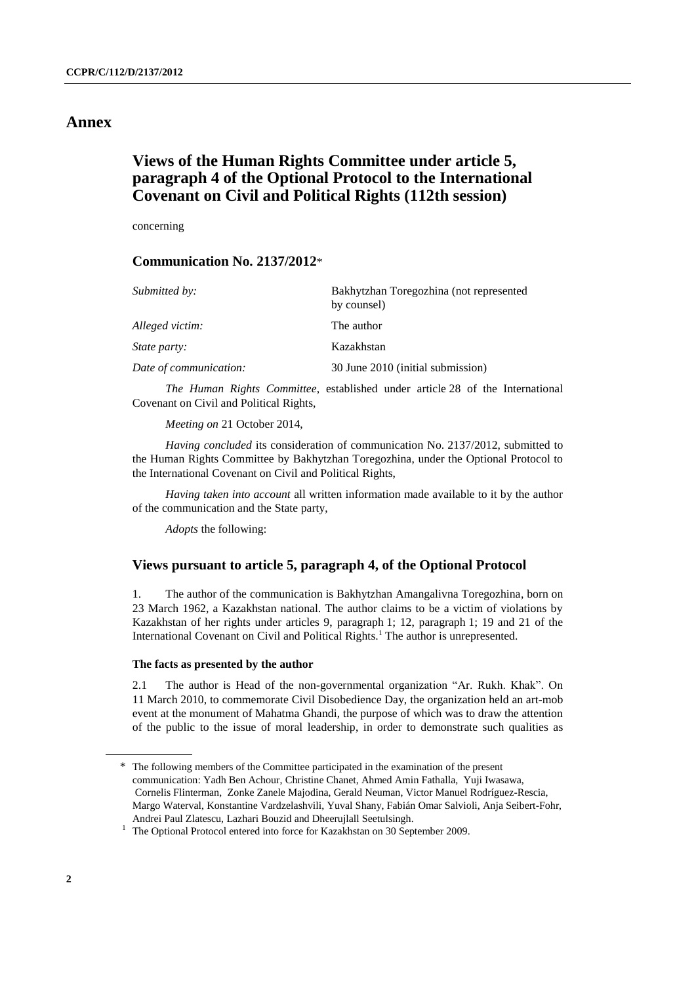## **Annex**

# **Views of the Human Rights Committee under article 5, paragraph 4 of the Optional Protocol to the International Covenant on Civil and Political Rights (112th session)**

concerning

## **Communication No. 2137/2012**\*

| Submitted by:          | Bakhytzhan Toregozhina (not represented<br>by counsel) |
|------------------------|--------------------------------------------------------|
| Alleged victim:        | The author                                             |
| <i>State party:</i>    | Kazakhstan                                             |
| Date of communication: | 30 June 2010 (initial submission)                      |

*The Human Rights Committee*, established under article 28 of the International Covenant on Civil and Political Rights,

*Meeting on* 21 October 2014,

*Having concluded* its consideration of communication No. 2137/2012, submitted to the Human Rights Committee by Bakhytzhan Toregozhina, under the Optional Protocol to the International Covenant on Civil and Political Rights,

*Having taken into account* all written information made available to it by the author of the communication and the State party,

*Adopts* the following:

### **Views pursuant to article 5, paragraph 4, of the Optional Protocol**

1. The author of the communication is Bakhytzhan Amangalivna Toregozhina, born on 23 March 1962, a Kazakhstan national. The author claims to be a victim of violations by Kazakhstan of her rights under articles 9, paragraph 1; 12, paragraph 1; 19 and 21 of the International Covenant on Civil and Political Rights.<sup>1</sup> The author is unrepresented.

#### **The facts as presented by the author**

2.1 The author is Head of the non-governmental organization "Ar. Rukh. Khak". On 11 March 2010, to commemorate Civil Disobedience Day, the organization held an art-mob event at the monument of Mahatma Ghandi, the purpose of which was to draw the attention of the public to the issue of moral leadership, in order to demonstrate such qualities as

<sup>\*</sup> The following members of the Committee participated in the examination of the present communication: Yadh Ben Achour, Christine Chanet, Ahmed Amin Fathalla, Yuji Iwasawa, Cornelis Flinterman, Zonke Zanele Majodina, Gerald Neuman, Victor Manuel Rodríguez-Rescia, Margo Waterval, Konstantine Vardzelashvili, Yuval Shany, Fabián Omar Salvioli, Anja Seibert-Fohr, Andrei Paul Zlatescu, Lazhari Bouzid and Dheerujlall Seetulsingh.

<sup>&</sup>lt;sup>1</sup> The Optional Protocol entered into force for Kazakhstan on 30 September 2009.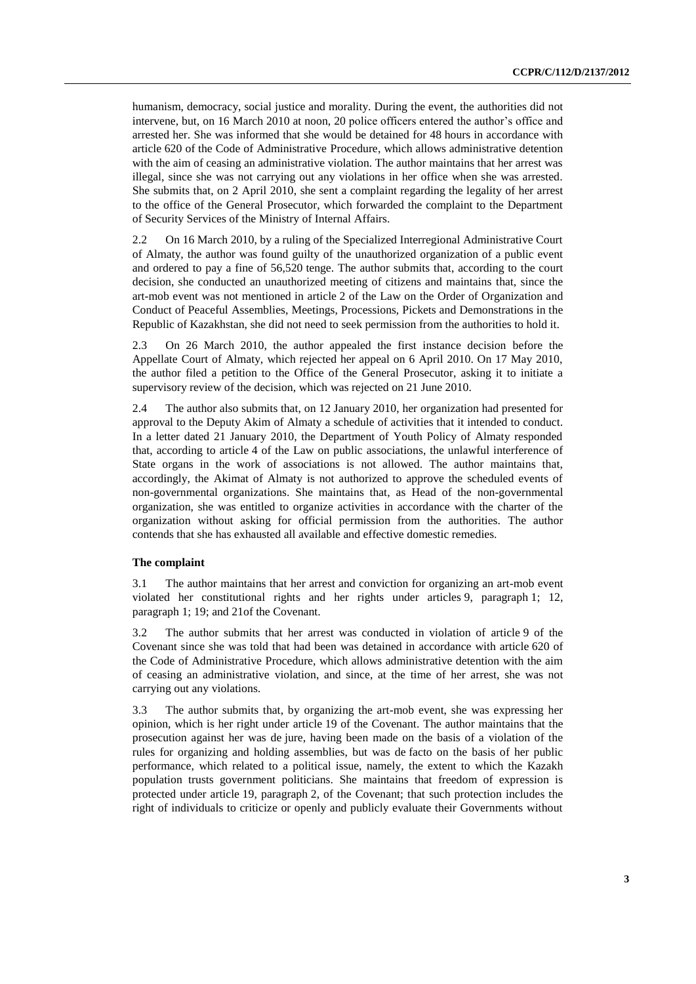humanism, democracy, social justice and morality. During the event, the authorities did not intervene, but, on 16 March 2010 at noon, 20 police officers entered the author's office and arrested her. She was informed that she would be detained for 48 hours in accordance with article 620 of the Code of Administrative Procedure, which allows administrative detention with the aim of ceasing an administrative violation. The author maintains that her arrest was illegal, since she was not carrying out any violations in her office when she was arrested. She submits that, on 2 April 2010, she sent a complaint regarding the legality of her arrest to the office of the General Prosecutor, which forwarded the complaint to the Department of Security Services of the Ministry of Internal Affairs.

2.2 On 16 March 2010, by a ruling of the Specialized Interregional Administrative Court of Almaty, the author was found guilty of the unauthorized organization of a public event and ordered to pay a fine of 56,520 tenge. The author submits that, according to the court decision, she conducted an unauthorized meeting of citizens and maintains that, since the art-mob event was not mentioned in article 2 of the Law on the Order of Organization and Conduct of Peaceful Assemblies, Meetings, Processions, Pickets and Demonstrations in the Republic of Kazakhstan, she did not need to seek permission from the authorities to hold it.

2.3 On 26 March 2010, the author appealed the first instance decision before the Appellate Court of Almaty, which rejected her appeal on 6 April 2010. On 17 May 2010, the author filed a petition to the Office of the General Prosecutor, asking it to initiate a supervisory review of the decision, which was rejected on 21 June 2010.

2.4 The author also submits that, on 12 January 2010, her organization had presented for approval to the Deputy Akim of Almaty a schedule of activities that it intended to conduct. In a letter dated 21 January 2010, the Department of Youth Policy of Almaty responded that, according to article 4 of the Law on public associations, the unlawful interference of State organs in the work of associations is not allowed. The author maintains that, accordingly, the Akimat of Almaty is not authorized to approve the scheduled events of non-governmental organizations. She maintains that, as Head of the non-governmental organization, she was entitled to organize activities in accordance with the charter of the organization without asking for official permission from the authorities. The author contends that she has exhausted all available and effective domestic remedies.

### **The complaint**

3.1 The author maintains that her arrest and conviction for organizing an art-mob event violated her constitutional rights and her rights under articles 9, paragraph 1; 12, paragraph 1; 19; and 21of the Covenant.

3.2 The author submits that her arrest was conducted in violation of article 9 of the Covenant since she was told that had been was detained in accordance with article 620 of the Code of Administrative Procedure, which allows administrative detention with the aim of ceasing an administrative violation, and since, at the time of her arrest, she was not carrying out any violations.

3.3 The author submits that, by organizing the art-mob event, she was expressing her opinion, which is her right under article 19 of the Covenant. The author maintains that the prosecution against her was de jure, having been made on the basis of a violation of the rules for organizing and holding assemblies, but was de facto on the basis of her public performance, which related to a political issue, namely, the extent to which the Kazakh population trusts government politicians. She maintains that freedom of expression is protected under article 19, paragraph 2, of the Covenant; that such protection includes the right of individuals to criticize or openly and publicly evaluate their Governments without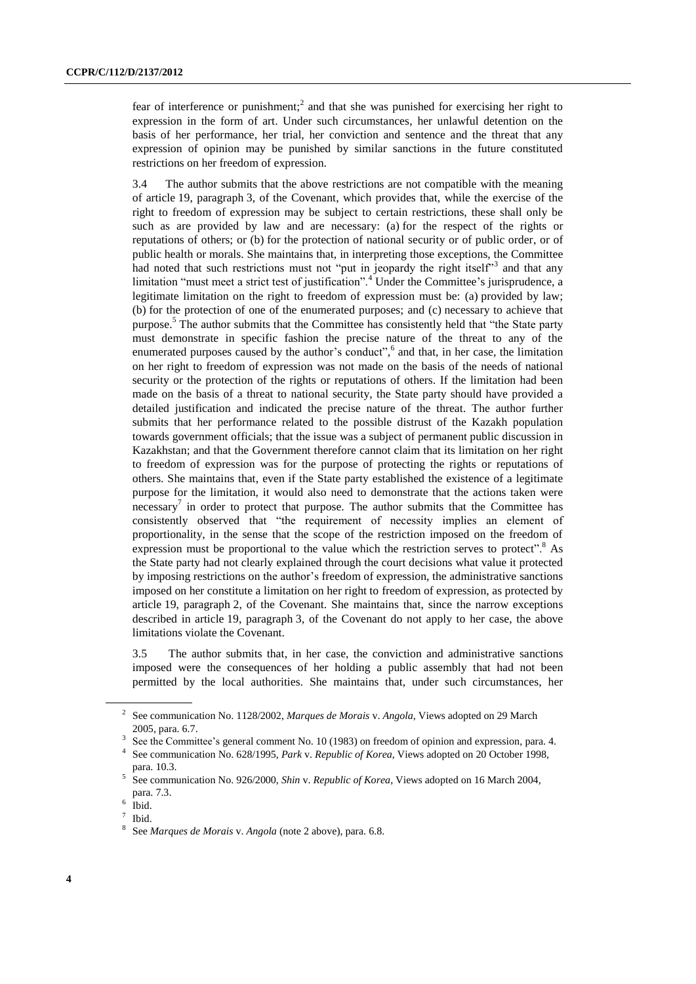fear of interference or punishment;<sup>2</sup> and that she was punished for exercising her right to expression in the form of art. Under such circumstances, her unlawful detention on the basis of her performance, her trial, her conviction and sentence and the threat that any expression of opinion may be punished by similar sanctions in the future constituted restrictions on her freedom of expression.

3.4 The author submits that the above restrictions are not compatible with the meaning of article 19, paragraph 3, of the Covenant, which provides that, while the exercise of the right to freedom of expression may be subject to certain restrictions, these shall only be such as are provided by law and are necessary: (a) for the respect of the rights or reputations of others; or (b) for the protection of national security or of public order, or of public health or morals. She maintains that, in interpreting those exceptions, the Committee had noted that such restrictions must not "put in jeopardy the right itself"<sup>3</sup> and that any limitation "must meet a strict test of justification".<sup>4</sup> Under the Committee's jurisprudence, a legitimate limitation on the right to freedom of expression must be: (a) provided by law; (b) for the protection of one of the enumerated purposes; and (c) necessary to achieve that purpose.<sup>5</sup> The author submits that the Committee has consistently held that "the State party must demonstrate in specific fashion the precise nature of the threat to any of the enumerated purposes caused by the author's conduct",<sup>6</sup> and that, in her case, the limitation on her right to freedom of expression was not made on the basis of the needs of national security or the protection of the rights or reputations of others. If the limitation had been made on the basis of a threat to national security, the State party should have provided a detailed justification and indicated the precise nature of the threat. The author further submits that her performance related to the possible distrust of the Kazakh population towards government officials; that the issue was a subject of permanent public discussion in Kazakhstan; and that the Government therefore cannot claim that its limitation on her right to freedom of expression was for the purpose of protecting the rights or reputations of others. She maintains that, even if the State party established the existence of a legitimate purpose for the limitation, it would also need to demonstrate that the actions taken were  $n$ ecessary<sup>7</sup> in order to protect that purpose. The author submits that the Committee has consistently observed that "the requirement of necessity implies an element of proportionality, in the sense that the scope of the restriction imposed on the freedom of expression must be proportional to the value which the restriction serves to protect".<sup>8</sup> As the State party had not clearly explained through the court decisions what value it protected by imposing restrictions on the author's freedom of expression, the administrative sanctions imposed on her constitute a limitation on her right to freedom of expression, as protected by article 19, paragraph 2, of the Covenant. She maintains that, since the narrow exceptions described in article 19, paragraph 3, of the Covenant do not apply to her case, the above limitations violate the Covenant.

3.5 The author submits that, in her case, the conviction and administrative sanctions imposed were the consequences of her holding a public assembly that had not been permitted by the local authorities. She maintains that, under such circumstances, her

<sup>2</sup> See communication No. 1128/2002, *Marques de Morais* v. *Angola*, Views adopted on 29 March 2005, para. 6.7.

<sup>3</sup> See the Committee's general comment No. 10 (1983) on freedom of opinion and expression, para. 4.

<sup>4</sup> See communication No. 628/1995, *Park* v. *Republic of Korea*, Views adopted on 20 October 1998, para. 10.3.

<sup>5</sup> See communication No. 926/2000, *Shin* v. *Republic of Korea*, Views adopted on 16 March 2004, para. 7.3.

<sup>6</sup> Ibid.

<sup>7</sup> Ibid.

<sup>8</sup> See *Marques de Morais* v. *Angola* (note 2 above), para. 6.8.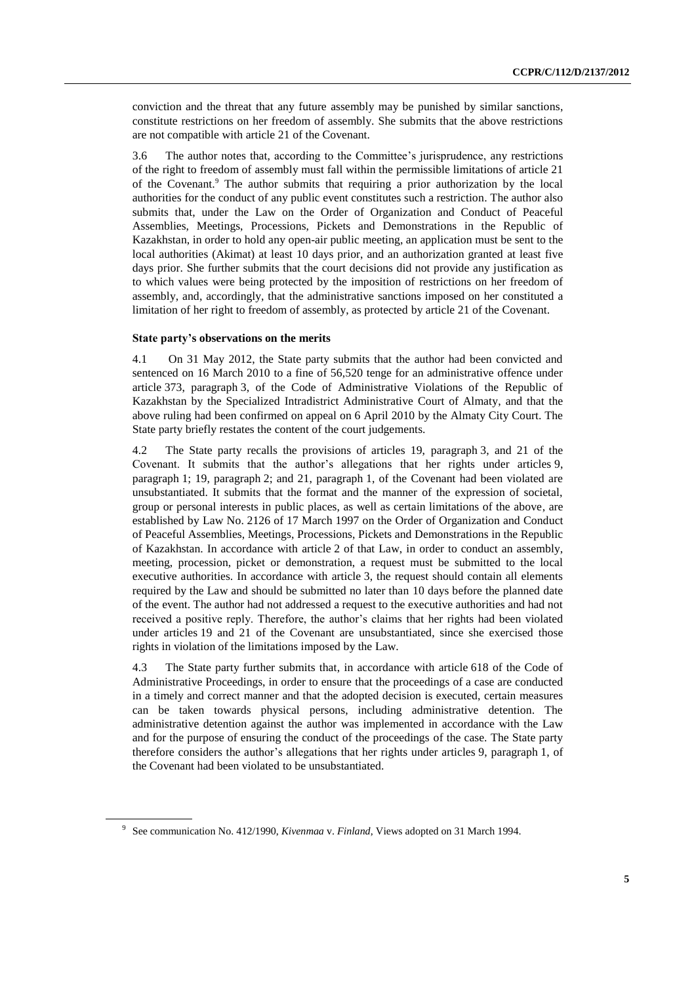conviction and the threat that any future assembly may be punished by similar sanctions, constitute restrictions on her freedom of assembly. She submits that the above restrictions are not compatible with article 21 of the Covenant.

3.6 The author notes that, according to the Committee's jurisprudence, any restrictions of the right to freedom of assembly must fall within the permissible limitations of article 21 of the Covenant. <sup>9</sup> The author submits that requiring a prior authorization by the local authorities for the conduct of any public event constitutes such a restriction. The author also submits that, under the Law on the Order of Organization and Conduct of Peaceful Assemblies, Meetings, Processions, Pickets and Demonstrations in the Republic of Kazakhstan, in order to hold any open-air public meeting, an application must be sent to the local authorities (Akimat) at least 10 days prior, and an authorization granted at least five days prior. She further submits that the court decisions did not provide any justification as to which values were being protected by the imposition of restrictions on her freedom of assembly, and, accordingly, that the administrative sanctions imposed on her constituted a limitation of her right to freedom of assembly, as protected by article 21 of the Covenant.

### **State party's observations on the merits**

4.1 On 31 May 2012, the State party submits that the author had been convicted and sentenced on 16 March 2010 to a fine of 56,520 tenge for an administrative offence under article 373, paragraph 3, of the Code of Administrative Violations of the Republic of Kazakhstan by the Specialized Intradistrict Administrative Court of Almaty, and that the above ruling had been confirmed on appeal on 6 April 2010 by the Almaty City Court. The State party briefly restates the content of the court judgements.

4.2 The State party recalls the provisions of articles 19, paragraph 3, and 21 of the Covenant. It submits that the author's allegations that her rights under articles 9, paragraph 1; 19, paragraph 2; and 21, paragraph 1, of the Covenant had been violated are unsubstantiated. It submits that the format and the manner of the expression of societal, group or personal interests in public places, as well as certain limitations of the above, are established by Law No. 2126 of 17 March 1997 on the Order of Organization and Conduct of Peaceful Assemblies, Meetings, Processions, Pickets and Demonstrations in the Republic of Kazakhstan. In accordance with article 2 of that Law, in order to conduct an assembly, meeting, procession, picket or demonstration, a request must be submitted to the local executive authorities. In accordance with article 3, the request should contain all elements required by the Law and should be submitted no later than 10 days before the planned date of the event. The author had not addressed a request to the executive authorities and had not received a positive reply. Therefore, the author's claims that her rights had been violated under articles 19 and 21 of the Covenant are unsubstantiated, since she exercised those rights in violation of the limitations imposed by the Law.

4.3 The State party further submits that, in accordance with article 618 of the Code of Administrative Proceedings, in order to ensure that the proceedings of a case are conducted in a timely and correct manner and that the adopted decision is executed, certain measures can be taken towards physical persons, including administrative detention. The administrative detention against the author was implemented in accordance with the Law and for the purpose of ensuring the conduct of the proceedings of the case. The State party therefore considers the author's allegations that her rights under articles 9, paragraph 1, of the Covenant had been violated to be unsubstantiated.

<sup>9</sup> See communication No. 412/1990, *Kivenmaa* v. *Finland*, Views adopted on 31 March 1994.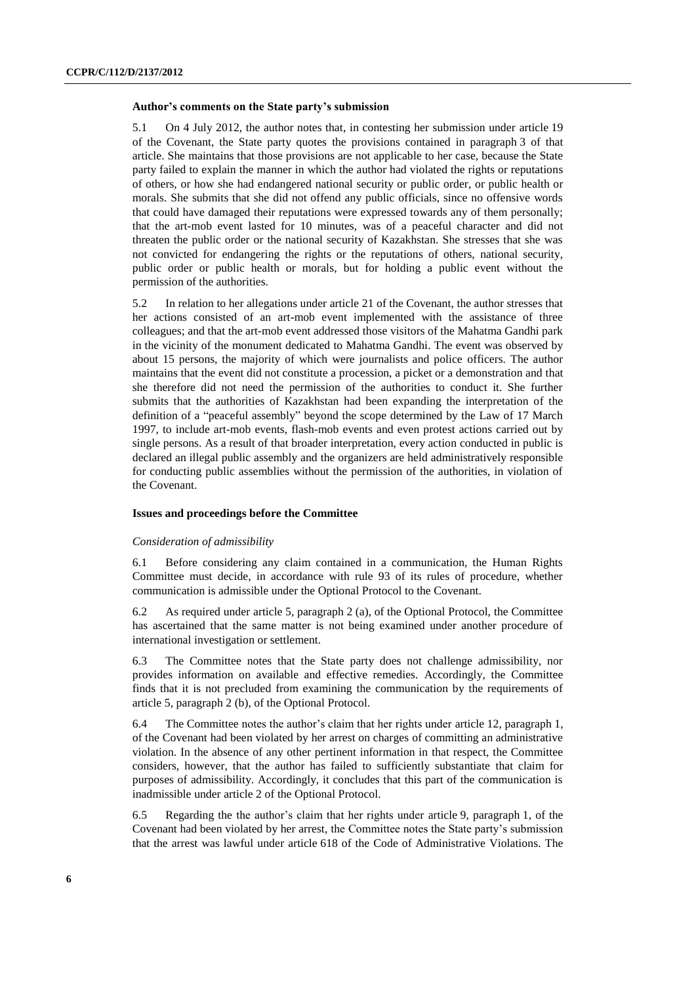#### **Author's comments on the State party's submission**

5.1 On 4 July 2012, the author notes that, in contesting her submission under article 19 of the Covenant, the State party quotes the provisions contained in paragraph 3 of that article. She maintains that those provisions are not applicable to her case, because the State party failed to explain the manner in which the author had violated the rights or reputations of others, or how she had endangered national security or public order, or public health or morals. She submits that she did not offend any public officials, since no offensive words that could have damaged their reputations were expressed towards any of them personally; that the art-mob event lasted for 10 minutes, was of a peaceful character and did not threaten the public order or the national security of Kazakhstan. She stresses that she was not convicted for endangering the rights or the reputations of others, national security, public order or public health or morals, but for holding a public event without the permission of the authorities.

5.2 In relation to her allegations under article 21 of the Covenant, the author stresses that her actions consisted of an art-mob event implemented with the assistance of three colleagues; and that the art-mob event addressed those visitors of the Mahatma Gandhi park in the vicinity of the monument dedicated to Mahatma Gandhi. The event was observed by about 15 persons, the majority of which were journalists and police officers. The author maintains that the event did not constitute a procession, a picket or a demonstration and that she therefore did not need the permission of the authorities to conduct it. She further submits that the authorities of Kazakhstan had been expanding the interpretation of the definition of a "peaceful assembly" beyond the scope determined by the Law of 17 March 1997, to include art-mob events, flash-mob events and even protest actions carried out by single persons. As a result of that broader interpretation, every action conducted in public is declared an illegal public assembly and the organizers are held administratively responsible for conducting public assemblies without the permission of the authorities, in violation of the Covenant.

#### **Issues and proceedings before the Committee**

#### *Consideration of admissibility*

6.1 Before considering any claim contained in a communication, the Human Rights Committee must decide, in accordance with rule 93 of its rules of procedure, whether communication is admissible under the Optional Protocol to the Covenant.

6.2 As required under article 5, paragraph 2 (a), of the Optional Protocol, the Committee has ascertained that the same matter is not being examined under another procedure of international investigation or settlement.

6.3 The Committee notes that the State party does not challenge admissibility, nor provides information on available and effective remedies. Accordingly, the Committee finds that it is not precluded from examining the communication by the requirements of article 5, paragraph 2 (b), of the Optional Protocol.

6.4 The Committee notes the author's claim that her rights under article 12, paragraph 1, of the Covenant had been violated by her arrest on charges of committing an administrative violation. In the absence of any other pertinent information in that respect, the Committee considers, however, that the author has failed to sufficiently substantiate that claim for purposes of admissibility. Accordingly, it concludes that this part of the communication is inadmissible under article 2 of the Optional Protocol.

6.5 Regarding the the author's claim that her rights under article 9, paragraph 1, of the Covenant had been violated by her arrest, the Committee notes the State party's submission that the arrest was lawful under article 618 of the Code of Administrative Violations. The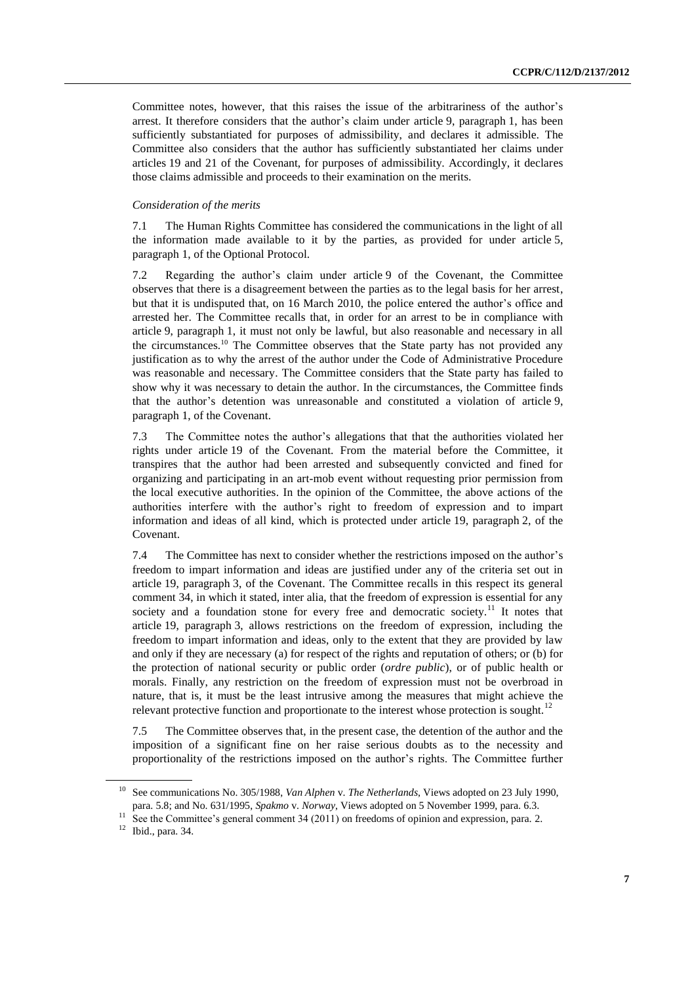Committee notes, however, that this raises the issue of the arbitrariness of the author's arrest. It therefore considers that the author's claim under article 9, paragraph 1, has been sufficiently substantiated for purposes of admissibility, and declares it admissible. The Committee also considers that the author has sufficiently substantiated her claims under articles 19 and 21 of the Covenant, for purposes of admissibility. Accordingly, it declares those claims admissible and proceeds to their examination on the merits.

#### *Consideration of the merits*

7.1 The Human Rights Committee has considered the communications in the light of all the information made available to it by the parties, as provided for under article 5, paragraph 1, of the Optional Protocol.

7.2 Regarding the author's claim under article 9 of the Covenant, the Committee observes that there is a disagreement between the parties as to the legal basis for her arrest, but that it is undisputed that, on 16 March 2010, the police entered the author's office and arrested her. The Committee recalls that, in order for an arrest to be in compliance with article 9, paragraph 1, it must not only be lawful, but also reasonable and necessary in all the circumstances.<sup>10</sup> The Committee observes that the State party has not provided any justification as to why the arrest of the author under the Code of Administrative Procedure was reasonable and necessary. The Committee considers that the State party has failed to show why it was necessary to detain the author. In the circumstances, the Committee finds that the author's detention was unreasonable and constituted a violation of article 9, paragraph 1, of the Covenant.

7.3 The Committee notes the author's allegations that that the authorities violated her rights under article 19 of the Covenant. From the material before the Committee, it transpires that the author had been arrested and subsequently convicted and fined for organizing and participating in an art-mob event without requesting prior permission from the local executive authorities. In the opinion of the Committee, the above actions of the authorities interfere with the author's right to freedom of expression and to impart information and ideas of all kind, which is protected under article 19, paragraph 2, of the Covenant.

7.4 The Committee has next to consider whether the restrictions imposed on the author's freedom to impart information and ideas are justified under any of the criteria set out in article 19, paragraph 3, of the Covenant. The Committee recalls in this respect its general comment 34, in which it stated, inter alia, that the freedom of expression is essential for any society and a foundation stone for every free and democratic society.<sup>11</sup> It notes that article 19, paragraph 3, allows restrictions on the freedom of expression, including the freedom to impart information and ideas, only to the extent that they are provided by law and only if they are necessary (a) for respect of the rights and reputation of others; or (b) for the protection of national security or public order (*ordre public*), or of public health or morals. Finally, any restriction on the freedom of expression must not be overbroad in nature, that is, it must be the least intrusive among the measures that might achieve the relevant protective function and proportionate to the interest whose protection is sought.<sup>12</sup>

7.5 The Committee observes that, in the present case, the detention of the author and the imposition of a significant fine on her raise serious doubts as to the necessity and proportionality of the restrictions imposed on the author's rights. The Committee further

<sup>10</sup> See communications No. 305/1988, *Van Alphen* v. *The Netherlands*, Views adopted on 23 July 1990, para. 5.8; and No. 631/1995, *Spakmo* v. *Norway*, Views adopted on 5 November 1999, para. 6.3.

<sup>&</sup>lt;sup>11</sup> See the Committee's general comment 34 (2011) on freedoms of opinion and expression, para. 2.

<sup>12</sup> Ibid., para. 34.